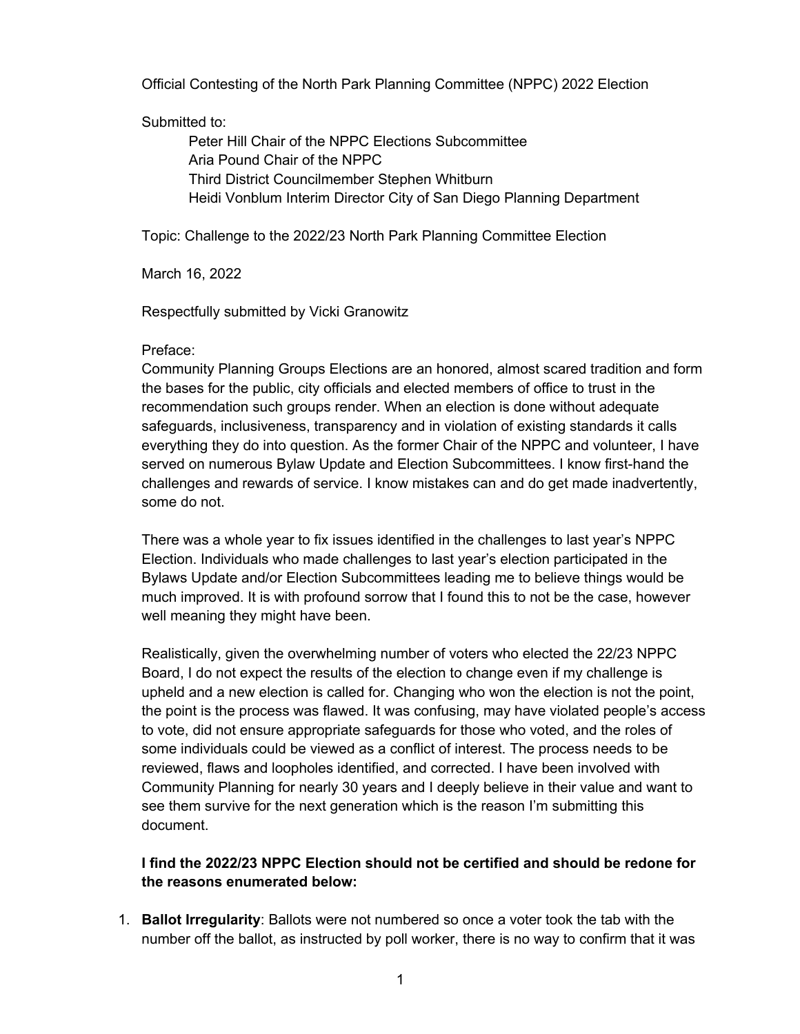Official Contesting of the North Park Planning Committee (NPPC) 2022 Election

#### Submitted to:

Peter Hill Chair of the NPPC Elections Subcommittee Aria Pound Chair of the NPPC Third District Councilmember Stephen Whitburn Heidi Vonblum Interim Director City of San Diego Planning Department

Topic: Challenge to the 2022/23 North Park Planning Committee Election

March 16, 2022

Respectfully submitted by Vicki Granowitz

#### Preface:

Community Planning Groups Elections are an honored, almost scared tradition and form the bases for the public, city officials and elected members of office to trust in the recommendation such groups render. When an election is done without adequate safeguards, inclusiveness, transparency and in violation of existing standards it calls everything they do into question. As the former Chair of the NPPC and volunteer, I have served on numerous Bylaw Update and Election Subcommittees. I know first-hand the challenges and rewards of service. I know mistakes can and do get made inadvertently, some do not.

There was a whole year to fix issues identified in the challenges to last year's NPPC Election. Individuals who made challenges to last year's election participated in the Bylaws Update and/or Election Subcommittees leading me to believe things would be much improved. It is with profound sorrow that I found this to not be the case, however well meaning they might have been.

Realistically, given the overwhelming number of voters who elected the 22/23 NPPC Board, I do not expect the results of the election to change even if my challenge is upheld and a new election is called for. Changing who won the election is not the point, the point is the process was flawed. It was confusing, may have violated people's access to vote, did not ensure appropriate safeguards for those who voted, and the roles of some individuals could be viewed as a conflict of interest. The process needs to be reviewed, flaws and loopholes identified, and corrected. I have been involved with Community Planning for nearly 30 years and I deeply believe in their value and want to see them survive for the next generation which is the reason I'm submitting this document.

### **I find the 2022/23 NPPC Election should not be certified and should be redone for the reasons enumerated below:**

1. **Ballot Irregularity**: Ballots were not numbered so once a voter took the tab with the number off the ballot, as instructed by poll worker, there is no way to confirm that it was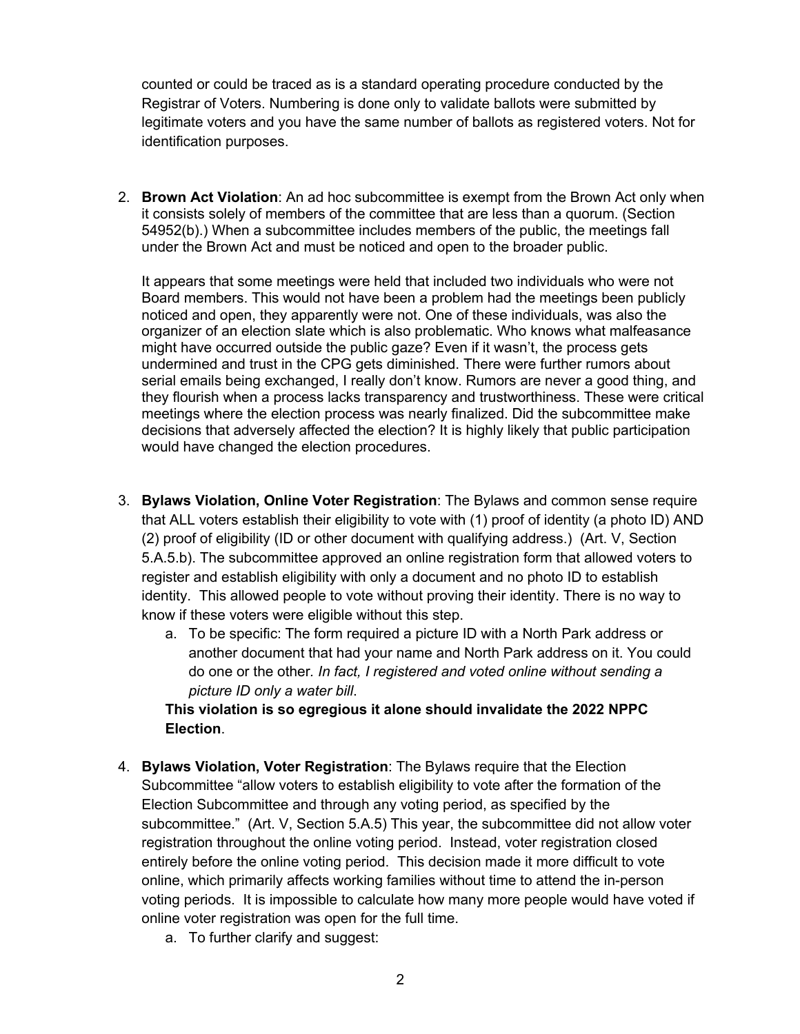counted or could be traced as is a standard operating procedure conducted by the Registrar of Voters. Numbering is done only to validate ballots were submitted by legitimate voters and you have the same number of ballots as registered voters. Not for identification purposes.

2. **Brown Act Violation**: An ad hoc subcommittee is exempt from the Brown Act only when it consists solely of members of the committee that are less than a quorum. (Section 54952(b).) When a subcommittee includes members of the public, the meetings fall under the Brown Act and must be noticed and open to the broader public.

It appears that some meetings were held that included two individuals who were not Board members. This would not have been a problem had the meetings been publicly noticed and open, they apparently were not. One of these individuals, was also the organizer of an election slate which is also problematic. Who knows what malfeasance might have occurred outside the public gaze? Even if it wasn't, the process gets undermined and trust in the CPG gets diminished. There were further rumors about serial emails being exchanged, I really don't know. Rumors are never a good thing, and they flourish when a process lacks transparency and trustworthiness. These were critical meetings where the election process was nearly finalized. Did the subcommittee make decisions that adversely affected the election? It is highly likely that public participation would have changed the election procedures.

- 3. **Bylaws Violation, Online Voter Registration**: The Bylaws and common sense require that ALL voters establish their eligibility to vote with (1) proof of identity (a photo ID) AND (2) proof of eligibility (ID or other document with qualifying address.) (Art. V, Section 5.A.5.b). The subcommittee approved an online registration form that allowed voters to register and establish eligibility with only a document and no photo ID to establish identity. This allowed people to vote without proving their identity. There is no way to know if these voters were eligible without this step.
	- a. To be specific: The form required a picture ID with a North Park address or another document that had your name and North Park address on it. You could do one or the other*. In fact, I registered and voted online without sending a picture ID only a water bill*.

#### **This violation is so egregious it alone should invalidate the 2022 NPPC Election**.

- 4. **Bylaws Violation, Voter Registration**: The Bylaws require that the Election Subcommittee "allow voters to establish eligibility to vote after the formation of the Election Subcommittee and through any voting period, as specified by the subcommittee." (Art. V, Section 5.A.5) This year, the subcommittee did not allow voter registration throughout the online voting period. Instead, voter registration closed entirely before the online voting period. This decision made it more difficult to vote online, which primarily affects working families without time to attend the in-person voting periods. It is impossible to calculate how many more people would have voted if online voter registration was open for the full time.
	- a. To further clarify and suggest: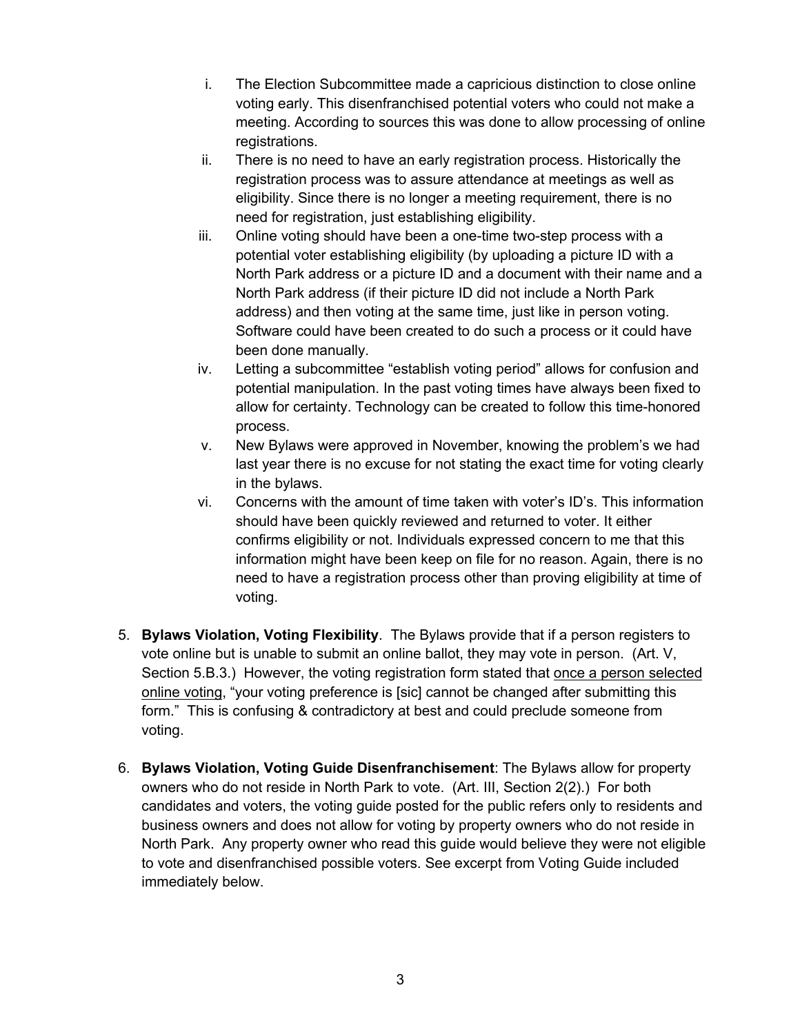- i. The Election Subcommittee made a capricious distinction to close online voting early. This disenfranchised potential voters who could not make a meeting. According to sources this was done to allow processing of online registrations.
- ii. There is no need to have an early registration process. Historically the registration process was to assure attendance at meetings as well as eligibility. Since there is no longer a meeting requirement, there is no need for registration, just establishing eligibility.
- iii. Online voting should have been a one-time two-step process with a potential voter establishing eligibility (by uploading a picture ID with a North Park address or a picture ID and a document with their name and a North Park address (if their picture ID did not include a North Park address) and then voting at the same time, just like in person voting. Software could have been created to do such a process or it could have been done manually.
- iv. Letting a subcommittee "establish voting period" allows for confusion and potential manipulation. In the past voting times have always been fixed to allow for certainty. Technology can be created to follow this time-honored process.
- v. New Bylaws were approved in November, knowing the problem's we had last year there is no excuse for not stating the exact time for voting clearly in the bylaws.
- vi. Concerns with the amount of time taken with voter's ID's. This information should have been quickly reviewed and returned to voter. It either confirms eligibility or not. Individuals expressed concern to me that this information might have been keep on file for no reason. Again, there is no need to have a registration process other than proving eligibility at time of voting.
- 5. **Bylaws Violation, Voting Flexibility**. The Bylaws provide that if a person registers to vote online but is unable to submit an online ballot, they may vote in person. (Art. V, Section 5.B.3.) However, the voting registration form stated that once a person selected online voting, "your voting preference is [sic] cannot be changed after submitting this form." This is confusing & contradictory at best and could preclude someone from voting.
- 6. **Bylaws Violation, Voting Guide Disenfranchisement**: The Bylaws allow for property owners who do not reside in North Park to vote. (Art. III, Section 2(2).) For both candidates and voters, the voting guide posted for the public refers only to residents and business owners and does not allow for voting by property owners who do not reside in North Park. Any property owner who read this guide would believe they were not eligible to vote and disenfranchised possible voters. See excerpt from Voting Guide included immediately below.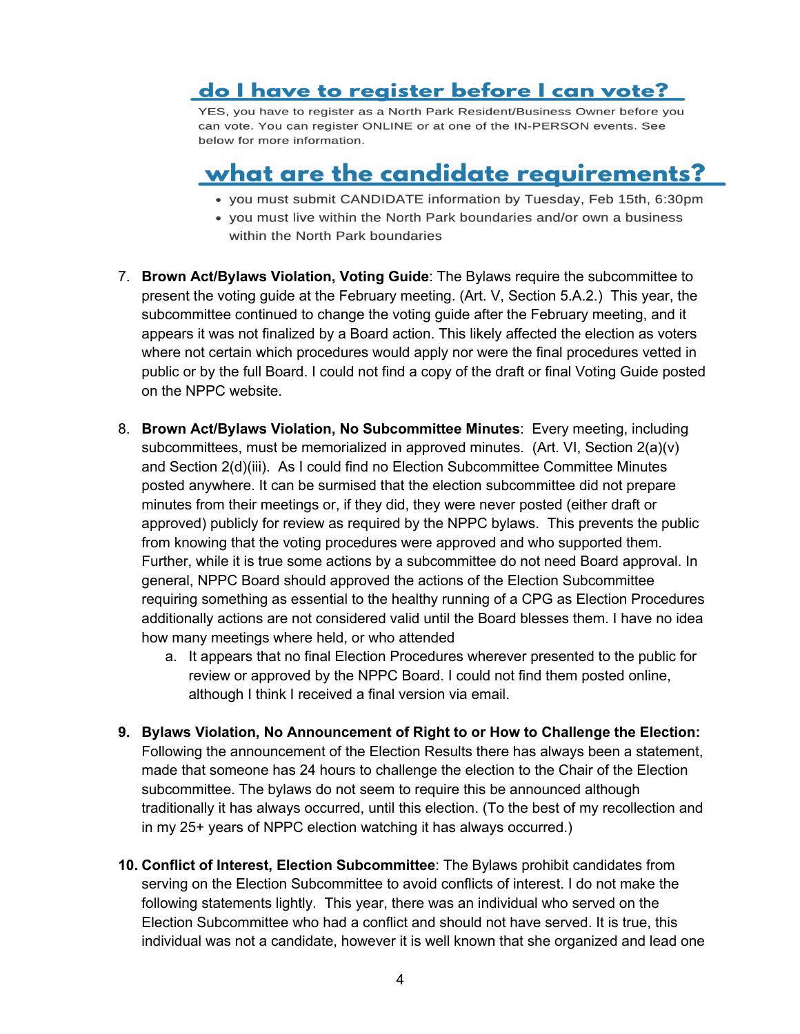## do I have to register before I can vote?

YES, you have to register as a North Park Resident/Business Owner before you can vote. You can register ONLINE or at one of the IN-PERSON events. See below for more information.

# <u>what are the candidate requirements?</u>

- you must submit CANDIDATE information by Tuesday, Feb 15th, 6:30pm
- you must live within the North Park boundaries and/or own a business within the North Park boundaries
- 7. **Brown Act/Bylaws Violation, Voting Guide**: The Bylaws require the subcommittee to present the voting guide at the February meeting. (Art. V, Section 5.A.2.) This year, the subcommittee continued to change the voting guide after the February meeting, and it appears it was not finalized by a Board action. This likely affected the election as voters where not certain which procedures would apply nor were the final procedures vetted in public or by the full Board. I could not find a copy of the draft or final Voting Guide posted on the NPPC website.
- 8. **Brown Act/Bylaws Violation, No Subcommittee Minutes**: Every meeting, including subcommittees, must be memorialized in approved minutes. (Art. VI, Section  $2(a)(v)$ ) and Section 2(d)(iii). As I could find no Election Subcommittee Committee Minutes posted anywhere. It can be surmised that the election subcommittee did not prepare minutes from their meetings or, if they did, they were never posted (either draft or approved) publicly for review as required by the NPPC bylaws. This prevents the public from knowing that the voting procedures were approved and who supported them. Further, while it is true some actions by a subcommittee do not need Board approval. In general, NPPC Board should approved the actions of the Election Subcommittee requiring something as essential to the healthy running of a CPG as Election Procedures additionally actions are not considered valid until the Board blesses them. I have no idea how many meetings where held, or who attended
	- a. It appears that no final Election Procedures wherever presented to the public for review or approved by the NPPC Board. I could not find them posted online, although I think I received a final version via email.
- **9. Bylaws Violation, No Announcement of Right to or How to Challenge the Election:**  Following the announcement of the Election Results there has always been a statement, made that someone has 24 hours to challenge the election to the Chair of the Election subcommittee. The bylaws do not seem to require this be announced although traditionally it has always occurred, until this election. (To the best of my recollection and in my 25+ years of NPPC election watching it has always occurred.)
- **10. Conflict of Interest, Election Subcommittee**: The Bylaws prohibit candidates from serving on the Election Subcommittee to avoid conflicts of interest. I do not make the following statements lightly. This year, there was an individual who served on the Election Subcommittee who had a conflict and should not have served. It is true, this individual was not a candidate, however it is well known that she organized and lead one